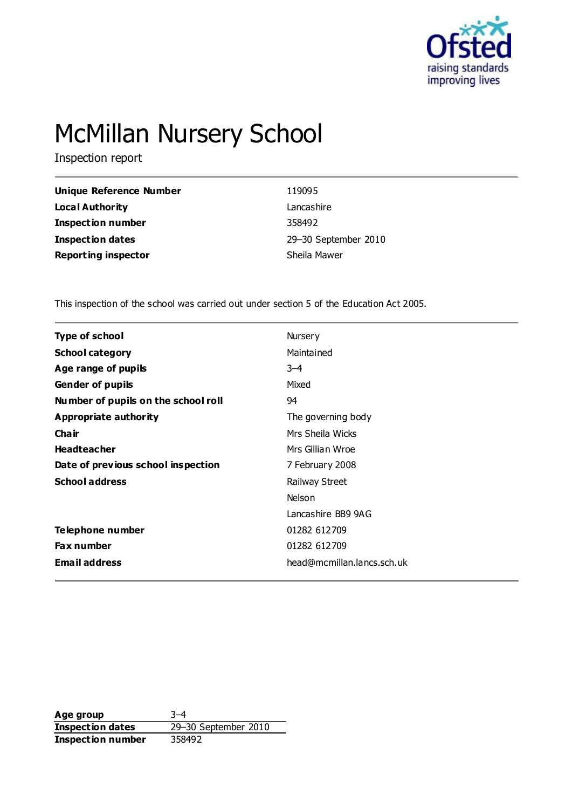

# McMillan Nursery School

Inspection report

| <b>Unique Reference Number</b> | 119095               |
|--------------------------------|----------------------|
| <b>Local Authority</b>         | Lancashire           |
| Inspection number              | 358492               |
| <b>Inspection dates</b>        | 29-30 September 2010 |
| <b>Reporting inspector</b>     | Sheila Mawer         |

This inspection of the school was carried out under section 5 of the Education Act 2005.

| Type of school                      | Nursery                    |
|-------------------------------------|----------------------------|
| <b>School category</b>              | Maintained                 |
| Age range of pupils                 | $3 - 4$                    |
| <b>Gender of pupils</b>             | Mixed                      |
| Number of pupils on the school roll | 94                         |
| Appropriate authority               | The governing body         |
| Cha ir                              | Mrs Sheila Wicks           |
| <b>Headteacher</b>                  | Mrs Gillian Wroe           |
| Date of previous school inspection  | 7 February 2008            |
| <b>School address</b>               | Railway Street             |
|                                     | Nelson                     |
|                                     | Lancashire BB9 9AG         |
| Telephone number                    | 01282 612709               |
| <b>Fax number</b>                   | 01282 612709               |
| <b>Email address</b>                | head@mcmillan.lancs.sch.uk |

**Age group** 3–4 **Inspection dates** 29–30 September 2010 **Inspection number** 358492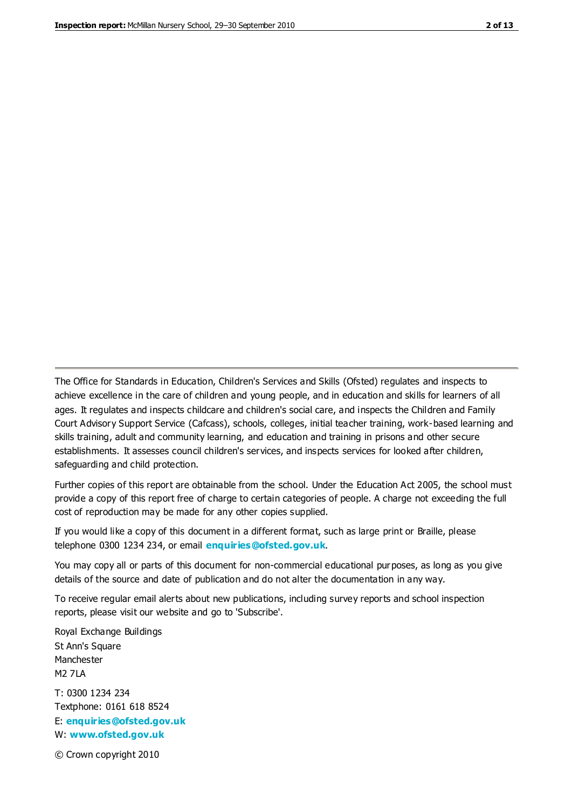The Office for Standards in Education, Children's Services and Skills (Ofsted) regulates and inspects to achieve excellence in the care of children and young people, and in education and skills for learners of all ages. It regulates and inspects childcare and children's social care, and inspects the Children and Family Court Advisory Support Service (Cafcass), schools, colleges, initial teacher training, work-based learning and skills training, adult and community learning, and education and training in prisons and other secure establishments. It assesses council children's services, and inspects services for looked after children, safeguarding and child protection.

Further copies of this report are obtainable from the school. Under the Education Act 2005, the school must provide a copy of this report free of charge to certain categories of people. A charge not exceeding the full cost of reproduction may be made for any other copies supplied.

If you would like a copy of this document in a different format, such as large print or Braille, please telephone 0300 1234 234, or email **[enquiries@ofsted.gov.uk](mailto:enquiries@ofsted.gov.uk)**.

You may copy all or parts of this document for non-commercial educational purposes, as long as you give details of the source and date of publication and do not alter the documentation in any way.

To receive regular email alerts about new publications, including survey reports and school inspection reports, please visit our website and go to 'Subscribe'.

Royal Exchange Buildings St Ann's Square Manchester M2 7LA T: 0300 1234 234 Textphone: 0161 618 8524 E: **[enquiries@ofsted.gov.uk](mailto:enquiries@ofsted.gov.uk)**

W: **[www.ofsted.gov.uk](http://www.ofsted.gov.uk/)**

© Crown copyright 2010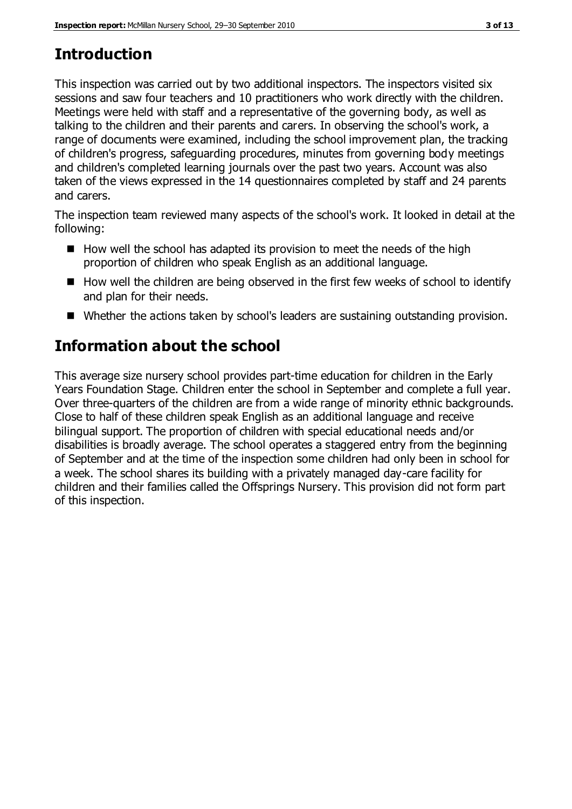# **Introduction**

This inspection was carried out by two additional inspectors. The inspectors visited six sessions and saw four teachers and 10 practitioners who work directly with the children. Meetings were held with staff and a representative of the governing body, as well as talking to the children and their parents and carers. In observing the school's work, a range of documents were examined, including the school improvement plan, the tracking of children's progress, safeguarding procedures, minutes from governing body meetings and children's completed learning journals over the past two years. Account was also taken of the views expressed in the 14 questionnaires completed by staff and 24 parents and carers.

The inspection team reviewed many aspects of the school's work. It looked in detail at the following:

- $\blacksquare$  How well the school has adapted its provision to meet the needs of the high proportion of children who speak English as an additional language.
- $\blacksquare$  How well the children are being observed in the first few weeks of school to identify and plan for their needs.
- Whether the actions taken by school's leaders are sustaining outstanding provision.

# **Information about the school**

This average size nursery school provides part-time education for children in the Early Years Foundation Stage. Children enter the school in September and complete a full year. Over three-quarters of the children are from a wide range of minority ethnic backgrounds. Close to half of these children speak English as an additional language and receive bilingual support. The proportion of children with special educational needs and/or disabilities is broadly average. The school operates a staggered entry from the beginning of September and at the time of the inspection some children had only been in school for a week. The school shares its building with a privately managed day-care facility for children and their families called the Offsprings Nursery. This provision did not form part of this inspection.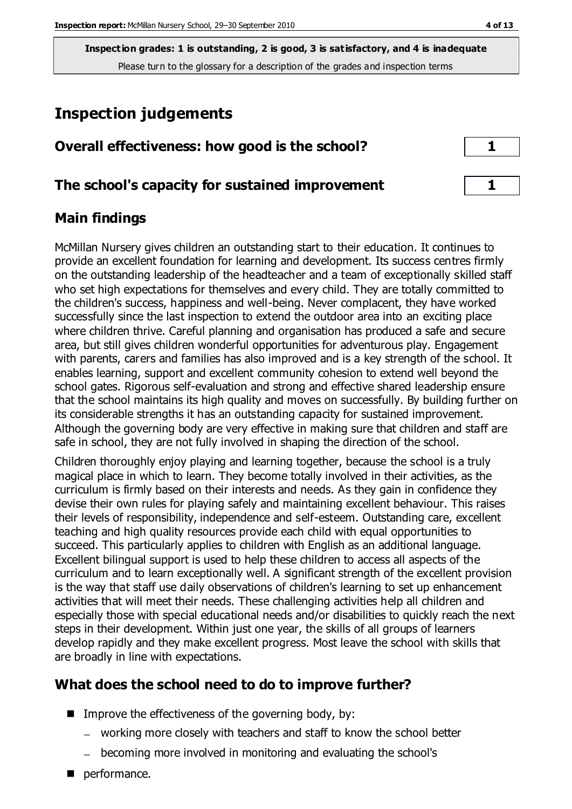# **Inspection judgements**

| Overall effectiveness: how good is the school? |  |
|------------------------------------------------|--|
|                                                |  |

## **The school's capacity for sustained improvement 1**

## **Main findings**

McMillan Nursery gives children an outstanding start to their education. It continues to provide an excellent foundation for learning and development. Its success centres firmly on the outstanding leadership of the headteacher and a team of exceptionally skilled staff who set high expectations for themselves and every child. They are totally committed to the children's success, happiness and well-being. Never complacent, they have worked successfully since the last inspection to extend the outdoor area into an exciting place where children thrive. Careful planning and organisation has produced a safe and secure area, but still gives children wonderful opportunities for adventurous play. Engagement with parents, carers and families has also improved and is a key strength of the school. It enables learning, support and excellent community cohesion to extend well beyond the school gates. Rigorous self-evaluation and strong and effective shared leadership ensure that the school maintains its high quality and moves on successfully. By building further on its considerable strengths it has an outstanding capacity for sustained improvement. Although the governing body are very effective in making sure that children and staff are safe in school, they are not fully involved in shaping the direction of the school.

Children thoroughly enjoy playing and learning together, because the school is a truly magical place in which to learn. They become totally involved in their activities, as the curriculum is firmly based on their interests and needs. As they gain in confidence they devise their own rules for playing safely and maintaining excellent behaviour. This raises their levels of responsibility, independence and self-esteem. Outstanding care, excellent teaching and high quality resources provide each child with equal opportunities to succeed. This particularly applies to children with English as an additional language. Excellent bilingual support is used to help these children to access all aspects of the curriculum and to learn exceptionally well. A significant strength of the excellent provision is the way that staff use daily observations of children's learning to set up enhancement activities that will meet their needs. These challenging activities help all children and especially those with special educational needs and/or disabilities to quickly reach the next steps in their development. Within just one year, the skills of all groups of learners develop rapidly and they make excellent progress. Most leave the school with skills that are broadly in line with expectations.

## **What does the school need to do to improve further?**

- $\blacksquare$  Improve the effectiveness of the governing body, by:
	- working more closely with teachers and staff to know the school better
	- becoming more involved in monitoring and evaluating the school's
- performance.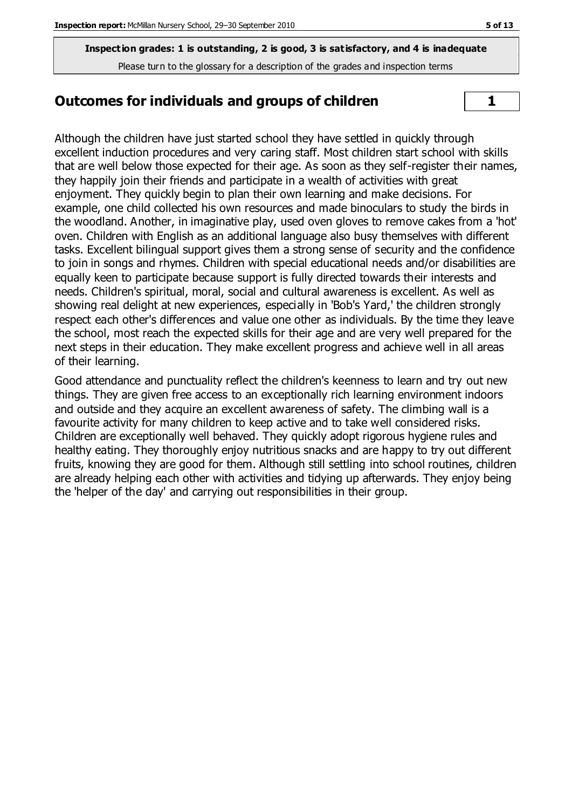#### **Outcomes for individuals and groups of children**  $\vert$  1

Although the children have just started school they have settled in quickly through excellent induction procedures and very caring staff. Most children start school with skills that are well below those expected for their age. As soon as they self-register their names, they happily join their friends and participate in a wealth of activities with great enjoyment. They quickly begin to plan their own learning and make decisions. For example, one child collected his own resources and made binoculars to study the birds in the woodland. Another, in imaginative play, used oven gloves to remove cakes from a 'hot' oven. Children with English as an additional language also busy themselves with different tasks. Excellent bilingual support gives them a strong sense of security and the confidence to join in songs and rhymes. Children with special educational needs and/or disabilities are equally keen to participate because support is fully directed towards their interests and needs. Children's spiritual, moral, social and cultural awareness is excellent. As well as showing real delight at new experiences, especially in 'Bob's Yard,' the children strongly respect each other's differences and value one other as individuals. By the time they leave the school, most reach the expected skills for their age and are very well prepared for the next steps in their education. They make excellent progress and achieve well in all areas of their learning.

Good attendance and punctuality reflect the children's keenness to learn and try out new things. They are given free access to an exceptionally rich learning environment indoors and outside and they acquire an excellent awareness of safety. The climbing wall is a favourite activity for many children to keep active and to take well considered risks. Children are exceptionally well behaved. They quickly adopt rigorous hygiene rules and healthy eating. They thoroughly enjoy nutritious snacks and are happy to try out different fruits, knowing they are good for them. Although still settling into school routines, children are already helping each other with activities and tidying up afterwards. They enjoy being the 'helper of the day' and carrying out responsibilities in their group.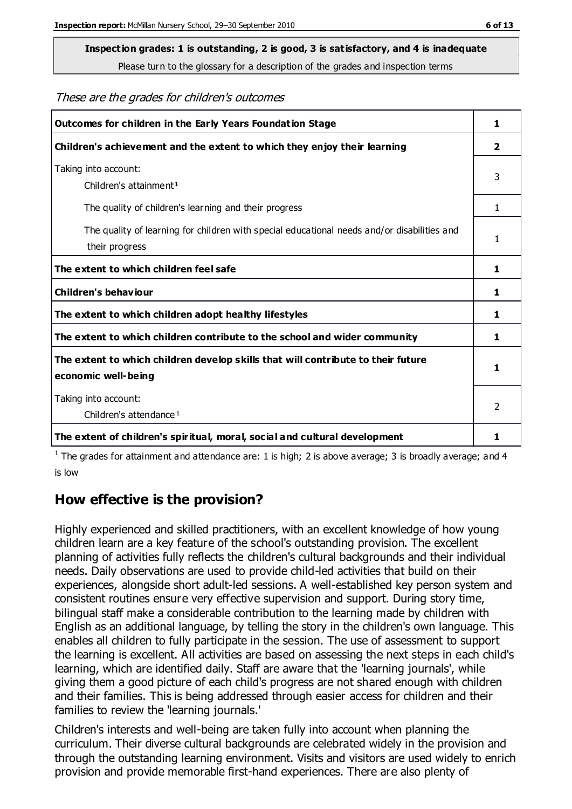#### **Inspection grades: 1 is outstanding, 2 is good, 3 is satisfactory, and 4 is inadequate**

Please turn to the glossary for a description of the grades and inspection terms

#### These are the grades for children's outcomes

| Outcomes for children in the Early Years Foundation Stage                                   |               |
|---------------------------------------------------------------------------------------------|---------------|
| Children's achievement and the extent to which they enjoy their learning                    |               |
| Taking into account:                                                                        | 3             |
| Children's attainment <sup>1</sup>                                                          |               |
| The quality of children's learning and their progress                                       | 1             |
| The quality of learning for children with special educational needs and/or disabilities and | 1             |
| their progress                                                                              |               |
| The extent to which children feel safe                                                      | 1.            |
| Children's behaviour                                                                        | 1             |
| The extent to which children adopt healthy lifestyles                                       | 1.            |
| The extent to which children contribute to the school and wider community                   | 1             |
| The extent to which children develop skills that will contribute to their future            |               |
| economic well-being                                                                         | 1             |
| Taking into account:                                                                        | $\mathcal{P}$ |
| Children's attendance <sup>1</sup>                                                          |               |
| The extent of children's spiritual, moral, social and cultural development                  | 1             |

<sup>1</sup> The grades for attainment and attendance are: 1 is high; 2 is above average; 3 is broadly average; and 4 is low

#### **How effective is the provision?**

Highly experienced and skilled practitioners, with an excellent knowledge of how young children learn are a key feature of the school's outstanding provision. The excellent planning of activities fully reflects the children's cultural backgrounds and their individual needs. Daily observations are used to provide child-led activities that build on their experiences, alongside short adult-led sessions. A well-established key person system and consistent routines ensure very effective supervision and support. During story time, bilingual staff make a considerable contribution to the learning made by children with English as an additional language, by telling the story in the children's own language. This enables all children to fully participate in the session. The use of assessment to support the learning is excellent. All activities are based on assessing the next steps in each child's learning, which are identified daily. Staff are aware that the 'learning journals', while giving them a good picture of each child's progress are not shared enough with children and their families. This is being addressed through easier access for children and their families to review the 'learning journals.'

Children's interests and well-being are taken fully into account when planning the curriculum. Their diverse cultural backgrounds are celebrated widely in the provision and through the outstanding learning environment. Visits and visitors are used widely to enrich provision and provide memorable first-hand experiences. There are also plenty of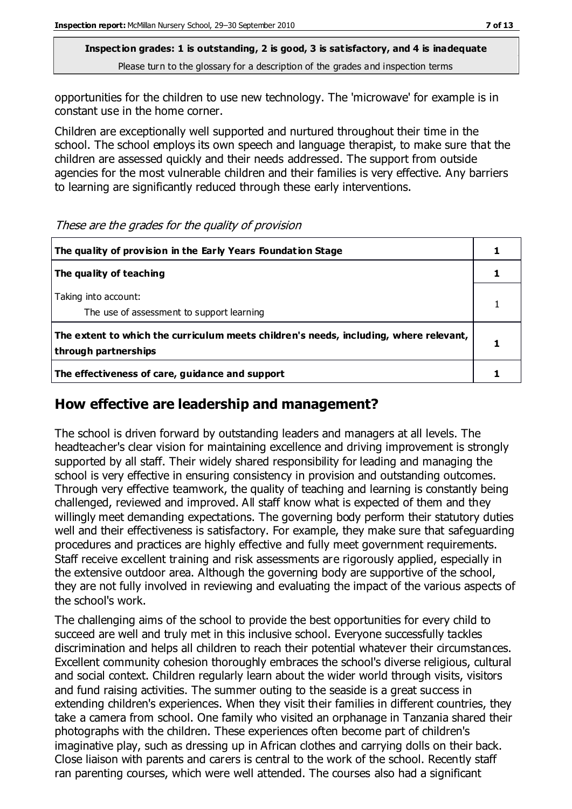opportunities for the children to use new technology. The 'microwave' for example is in constant use in the home corner.

Children are exceptionally well supported and nurtured throughout their time in the school. The school employs its own speech and language therapist, to make sure that the children are assessed quickly and their needs addressed. The support from outside agencies for the most vulnerable children and their families is very effective. Any barriers to learning are significantly reduced through these early interventions.

| The quality of provision in the Early Years Foundation Stage                                                  |  |
|---------------------------------------------------------------------------------------------------------------|--|
| The quality of teaching                                                                                       |  |
| Taking into account:<br>The use of assessment to support learning                                             |  |
| The extent to which the curriculum meets children's needs, including, where relevant,<br>through partnerships |  |
| The effectiveness of care, guidance and support                                                               |  |

#### These are the grades for the quality of provision

## **How effective are leadership and management?**

The school is driven forward by outstanding leaders and managers at all levels. The headteacher's clear vision for maintaining excellence and driving improvement is strongly supported by all staff. Their widely shared responsibility for leading and managing the school is very effective in ensuring consistency in provision and outstanding outcomes. Through very effective teamwork, the quality of teaching and learning is constantly being challenged, reviewed and improved. All staff know what is expected of them and they willingly meet demanding expectations. The governing body perform their statutory duties well and their effectiveness is satisfactory. For example, they make sure that safeguarding procedures and practices are highly effective and fully meet government requirements. Staff receive excellent training and risk assessments are rigorously applied, especially in the extensive outdoor area. Although the governing body are supportive of the school, they are not fully involved in reviewing and evaluating the impact of the various aspects of the school's work.

The challenging aims of the school to provide the best opportunities for every child to succeed are well and truly met in this inclusive school. Everyone successfully tackles discrimination and helps all children to reach their potential whatever their circumstances. Excellent community cohesion thoroughly embraces the school's diverse religious, cultural and social context. Children regularly learn about the wider world through visits, visitors and fund raising activities. The summer outing to the seaside is a great success in extending children's experiences. When they visit their families in different countries, they take a camera from school. One family who visited an orphanage in Tanzania shared their photographs with the children. These experiences often become part of children's imaginative play, such as dressing up in African clothes and carrying dolls on their back. Close liaison with parents and carers is central to the work of the school. Recently staff ran parenting courses, which were well attended. The courses also had a significant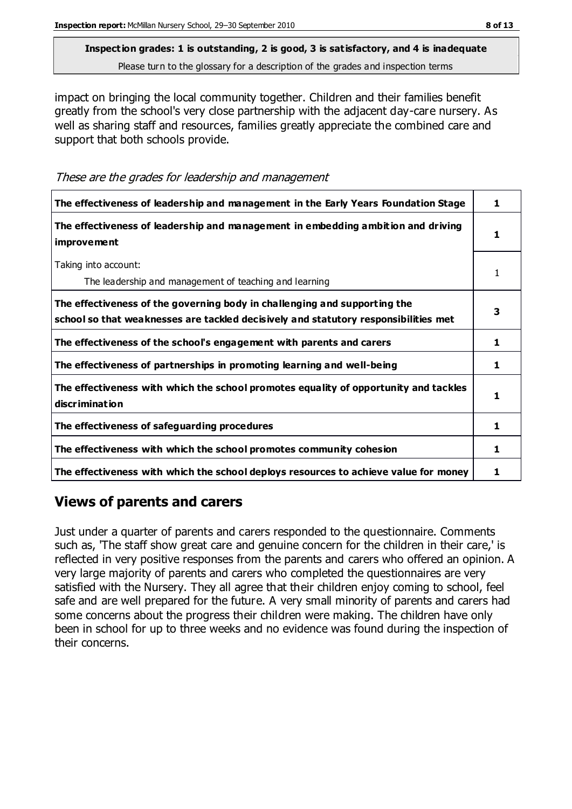impact on bringing the local community together. Children and their families benefit greatly from the school's very close partnership with the adjacent day-care nursery. As well as sharing staff and resources, families greatly appreciate the combined care and support that both schools provide.

These are the grades for leadership and management

| The effectiveness of leadership and management in the Early Years Foundation Stage                                                                               |   |
|------------------------------------------------------------------------------------------------------------------------------------------------------------------|---|
| The effectiveness of leadership and management in embedding ambition and driving<br><i>improvement</i>                                                           |   |
| Taking into account:<br>The leadership and management of teaching and learning                                                                                   |   |
| The effectiveness of the governing body in challenging and supporting the<br>school so that weaknesses are tackled decisively and statutory responsibilities met |   |
| The effectiveness of the school's engagement with parents and carers                                                                                             | 1 |
| The effectiveness of partnerships in promoting learning and well-being                                                                                           |   |
| The effectiveness with which the school promotes equality of opportunity and tackles<br>discrimination                                                           |   |
| The effectiveness of safeguarding procedures                                                                                                                     | 1 |
| The effectiveness with which the school promotes community cohesion                                                                                              | 1 |
| The effectiveness with which the school deploys resources to achieve value for money                                                                             |   |

## **Views of parents and carers**

Just under a quarter of parents and carers responded to the questionnaire. Comments such as, 'The staff show great care and genuine concern for the children in their care,' is reflected in very positive responses from the parents and carers who offered an opinion. A very large majority of parents and carers who completed the questionnaires are very satisfied with the Nursery. They all agree that their children enjoy coming to school, feel safe and are well prepared for the future. A very small minority of parents and carers had some concerns about the progress their children were making. The children have only been in school for up to three weeks and no evidence was found during the inspection of their concerns.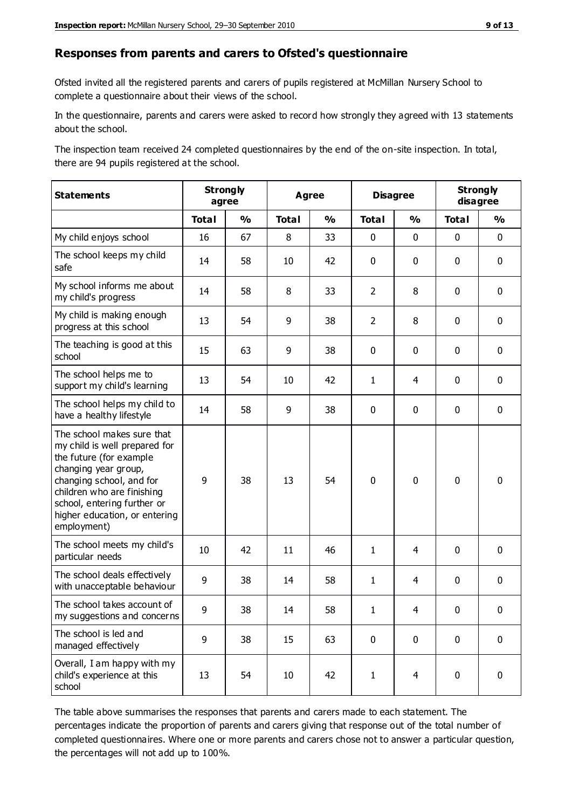#### **Responses from parents and carers to Ofsted's questionnaire**

Ofsted invited all the registered parents and carers of pupils registered at McMillan Nursery School to complete a questionnaire about their views of the school.

In the questionnaire, parents and carers were asked to record how strongly they agreed with 13 statements about the school.

The inspection team received 24 completed questionnaires by the end of the on-site inspection. In total, there are 94 pupils registered at the school.

| <b>Statements</b>                                                                                                                                                                                                                                       |              | <b>Strongly</b><br>agree |              | <b>Agree</b>  |                | <b>Disagree</b> |              | <b>Strongly</b><br>disagree |  |
|---------------------------------------------------------------------------------------------------------------------------------------------------------------------------------------------------------------------------------------------------------|--------------|--------------------------|--------------|---------------|----------------|-----------------|--------------|-----------------------------|--|
|                                                                                                                                                                                                                                                         | <b>Total</b> | $\frac{0}{0}$            | <b>Total</b> | $\frac{0}{0}$ | <b>Total</b>   | $\frac{0}{0}$   | <b>Total</b> | $\frac{0}{0}$               |  |
| My child enjoys school                                                                                                                                                                                                                                  | 16           | 67                       | 8            | 33            | $\mathbf 0$    | $\mathbf 0$     | $\mathbf 0$  | $\mathbf 0$                 |  |
| The school keeps my child<br>safe                                                                                                                                                                                                                       | 14           | 58                       | 10           | 42            | 0              | $\mathbf 0$     | $\mathbf 0$  | $\mathbf 0$                 |  |
| My school informs me about<br>my child's progress                                                                                                                                                                                                       | 14           | 58                       | 8            | 33            | $\overline{2}$ | 8               | $\mathbf 0$  | $\mathbf 0$                 |  |
| My child is making enough<br>progress at this school                                                                                                                                                                                                    | 13           | 54                       | 9            | 38            | $\overline{2}$ | 8               | $\mathbf 0$  | $\mathbf 0$                 |  |
| The teaching is good at this<br>school                                                                                                                                                                                                                  | 15           | 63                       | 9            | 38            | 0              | $\mathbf 0$     | $\mathbf 0$  | $\mathbf 0$                 |  |
| The school helps me to<br>support my child's learning                                                                                                                                                                                                   | 13           | 54                       | 10           | 42            | $\mathbf{1}$   | 4               | $\mathbf 0$  | $\mathbf 0$                 |  |
| The school helps my child to<br>have a healthy lifestyle                                                                                                                                                                                                | 14           | 58                       | 9            | 38            | 0              | $\mathbf 0$     | $\mathbf 0$  | $\mathbf 0$                 |  |
| The school makes sure that<br>my child is well prepared for<br>the future (for example<br>changing year group,<br>changing school, and for<br>children who are finishing<br>school, entering further or<br>higher education, or entering<br>employment) | 9            | 38                       | 13           | 54            | $\mathbf 0$    | $\mathbf 0$     | $\mathbf 0$  | $\mathbf 0$                 |  |
| The school meets my child's<br>particular needs                                                                                                                                                                                                         | 10           | 42                       | 11           | 46            | $\mathbf{1}$   | 4               | $\mathbf 0$  | $\mathbf 0$                 |  |
| The school deals effectively<br>with unacceptable behaviour                                                                                                                                                                                             | 9            | 38                       | 14           | 58            | $\mathbf{1}$   | 4               | $\mathbf 0$  | $\pmb{0}$                   |  |
| The school takes account of<br>my suggestions and concerns                                                                                                                                                                                              | $\mathbf{q}$ | 38                       | 14           | 58            | $\mathbf 1$    | 4               | $\Omega$     | 0                           |  |
| The school is led and<br>managed effectively                                                                                                                                                                                                            | 9            | 38                       | 15           | 63            | $\mathbf 0$    | $\mathbf 0$     | $\mathbf 0$  | $\mathbf 0$                 |  |
| Overall, I am happy with my<br>child's experience at this<br>school                                                                                                                                                                                     | 13           | 54                       | 10           | 42            | $\mathbf{1}$   | $\overline{4}$  | $\mathbf 0$  | $\mathbf 0$                 |  |

The table above summarises the responses that parents and carers made to each statement. The percentages indicate the proportion of parents and carers giving that response out of the total number of completed questionnaires. Where one or more parents and carers chose not to answer a particular question, the percentages will not add up to 100%.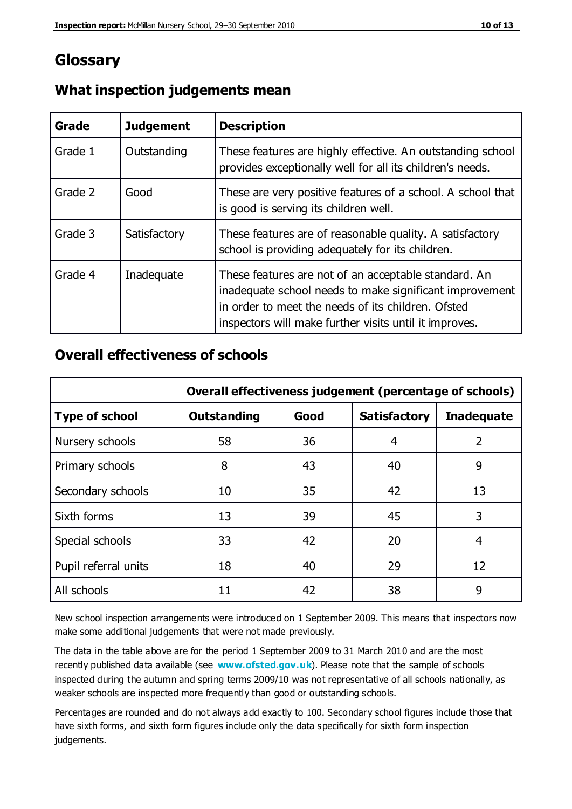## **Glossary**

| Grade   | <b>Judgement</b> | <b>Description</b>                                                                                                                                                                                                              |
|---------|------------------|---------------------------------------------------------------------------------------------------------------------------------------------------------------------------------------------------------------------------------|
| Grade 1 | Outstanding      | These features are highly effective. An outstanding school<br>provides exceptionally well for all its children's needs.                                                                                                         |
| Grade 2 | Good             | These are very positive features of a school. A school that<br>is good is serving its children well.                                                                                                                            |
| Grade 3 | Satisfactory     | These features are of reasonable quality. A satisfactory<br>school is providing adequately for its children.                                                                                                                    |
| Grade 4 | Inadequate       | These features are not of an acceptable standard. An<br>inadequate school needs to make significant improvement<br>in order to meet the needs of its children. Ofsted<br>inspectors will make further visits until it improves. |

## **What inspection judgements mean**

## **Overall effectiveness of schools**

|                       | Overall effectiveness judgement (percentage of schools) |      |                     |                   |
|-----------------------|---------------------------------------------------------|------|---------------------|-------------------|
| <b>Type of school</b> | <b>Outstanding</b>                                      | Good | <b>Satisfactory</b> | <b>Inadequate</b> |
| Nursery schools       | 58                                                      | 36   | 4                   | 2                 |
| Primary schools       | 8                                                       | 43   | 40                  | 9                 |
| Secondary schools     | 10                                                      | 35   | 42                  | 13                |
| Sixth forms           | 13                                                      | 39   | 45                  | 3                 |
| Special schools       | 33                                                      | 42   | 20                  | 4                 |
| Pupil referral units  | 18                                                      | 40   | 29                  | 12                |
| All schools           | 11                                                      | 42   | 38                  | 9                 |

New school inspection arrangements were introduced on 1 September 2009. This means that inspectors now make some additional judgements that were not made previously.

The data in the table above are for the period 1 September 2009 to 31 March 2010 and are the most recently published data available (see **[www.ofsted.gov.uk](http://www.ofsted.gov.uk/)**). Please note that the sample of schools inspected during the autumn and spring terms 2009/10 was not representative of all schools nationally, as weaker schools are inspected more frequently than good or outstanding schools.

Percentages are rounded and do not always add exactly to 100. Secondary school figures include those that have sixth forms, and sixth form figures include only the data specifically for sixth form inspection judgements.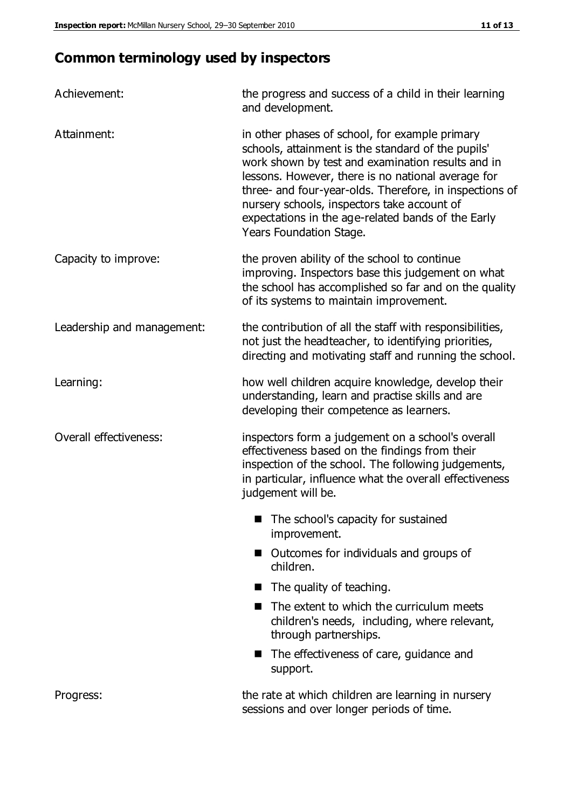# **Common terminology used by inspectors**

| Achievement:               | the progress and success of a child in their learning<br>and development.                                                                                                                                                                                                                                                                                                                                  |  |  |
|----------------------------|------------------------------------------------------------------------------------------------------------------------------------------------------------------------------------------------------------------------------------------------------------------------------------------------------------------------------------------------------------------------------------------------------------|--|--|
| Attainment:                | in other phases of school, for example primary<br>schools, attainment is the standard of the pupils'<br>work shown by test and examination results and in<br>lessons. However, there is no national average for<br>three- and four-year-olds. Therefore, in inspections of<br>nursery schools, inspectors take account of<br>expectations in the age-related bands of the Early<br>Years Foundation Stage. |  |  |
| Capacity to improve:       | the proven ability of the school to continue<br>improving. Inspectors base this judgement on what<br>the school has accomplished so far and on the quality<br>of its systems to maintain improvement.                                                                                                                                                                                                      |  |  |
| Leadership and management: | the contribution of all the staff with responsibilities,<br>not just the headteacher, to identifying priorities,<br>directing and motivating staff and running the school.                                                                                                                                                                                                                                 |  |  |
| Learning:                  | how well children acquire knowledge, develop their<br>understanding, learn and practise skills and are<br>developing their competence as learners.                                                                                                                                                                                                                                                         |  |  |
| Overall effectiveness:     | inspectors form a judgement on a school's overall<br>effectiveness based on the findings from their<br>inspection of the school. The following judgements,<br>in particular, influence what the overall effectiveness<br>judgement will be.                                                                                                                                                                |  |  |
|                            | The school's capacity for sustained<br>improvement.                                                                                                                                                                                                                                                                                                                                                        |  |  |
|                            | Outcomes for individuals and groups of<br>children.                                                                                                                                                                                                                                                                                                                                                        |  |  |
|                            | The quality of teaching.                                                                                                                                                                                                                                                                                                                                                                                   |  |  |
|                            | The extent to which the curriculum meets<br>children's needs, including, where relevant,<br>through partnerships.                                                                                                                                                                                                                                                                                          |  |  |
|                            | The effectiveness of care, guidance and<br>support.                                                                                                                                                                                                                                                                                                                                                        |  |  |
| Progress:                  | the rate at which children are learning in nursery<br>sessions and over longer periods of time.                                                                                                                                                                                                                                                                                                            |  |  |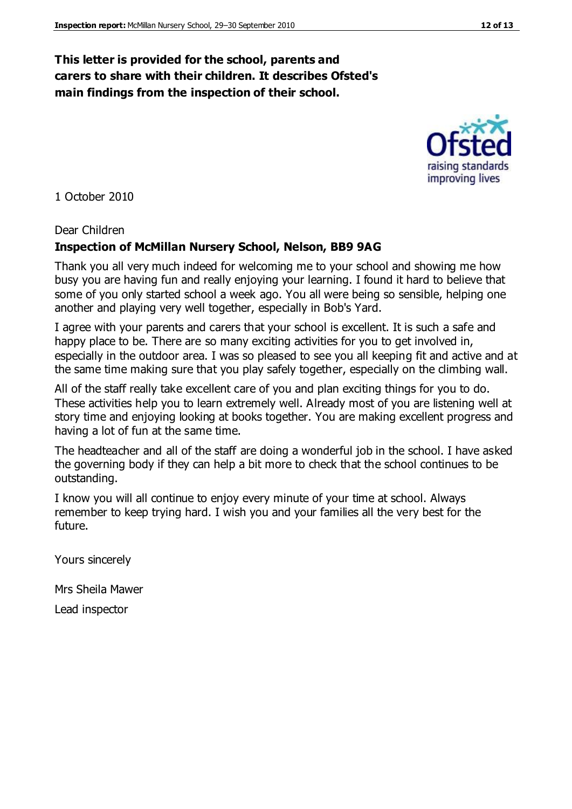#### **This letter is provided for the school, parents and carers to share with their children. It describes Ofsted's main findings from the inspection of their school.**

1 October 2010

#### Dear Children

#### **Inspection of McMillan Nursery School, Nelson, BB9 9AG**

Thank you all very much indeed for welcoming me to your school and showing me how busy you are having fun and really enjoying your learning. I found it hard to believe that some of you only started school a week ago. You all were being so sensible, helping one another and playing very well together, especially in Bob's Yard.

I agree with your parents and carers that your school is excellent. It is such a safe and happy place to be. There are so many exciting activities for you to get involved in, especially in the outdoor area. I was so pleased to see you all keeping fit and active and at the same time making sure that you play safely together, especially on the climbing wall.

All of the staff really take excellent care of you and plan exciting things for you to do. These activities help you to learn extremely well. Already most of you are listening well at story time and enjoying looking at books together. You are making excellent progress and having a lot of fun at the same time.

The headteacher and all of the staff are doing a wonderful job in the school. I have asked the governing body if they can help a bit more to check that the school continues to be outstanding.

I know you will all continue to enjoy every minute of your time at school. Always remember to keep trying hard. I wish you and your families all the very best for the future.

Yours sincerely

Mrs Sheila Mawer

Lead inspector